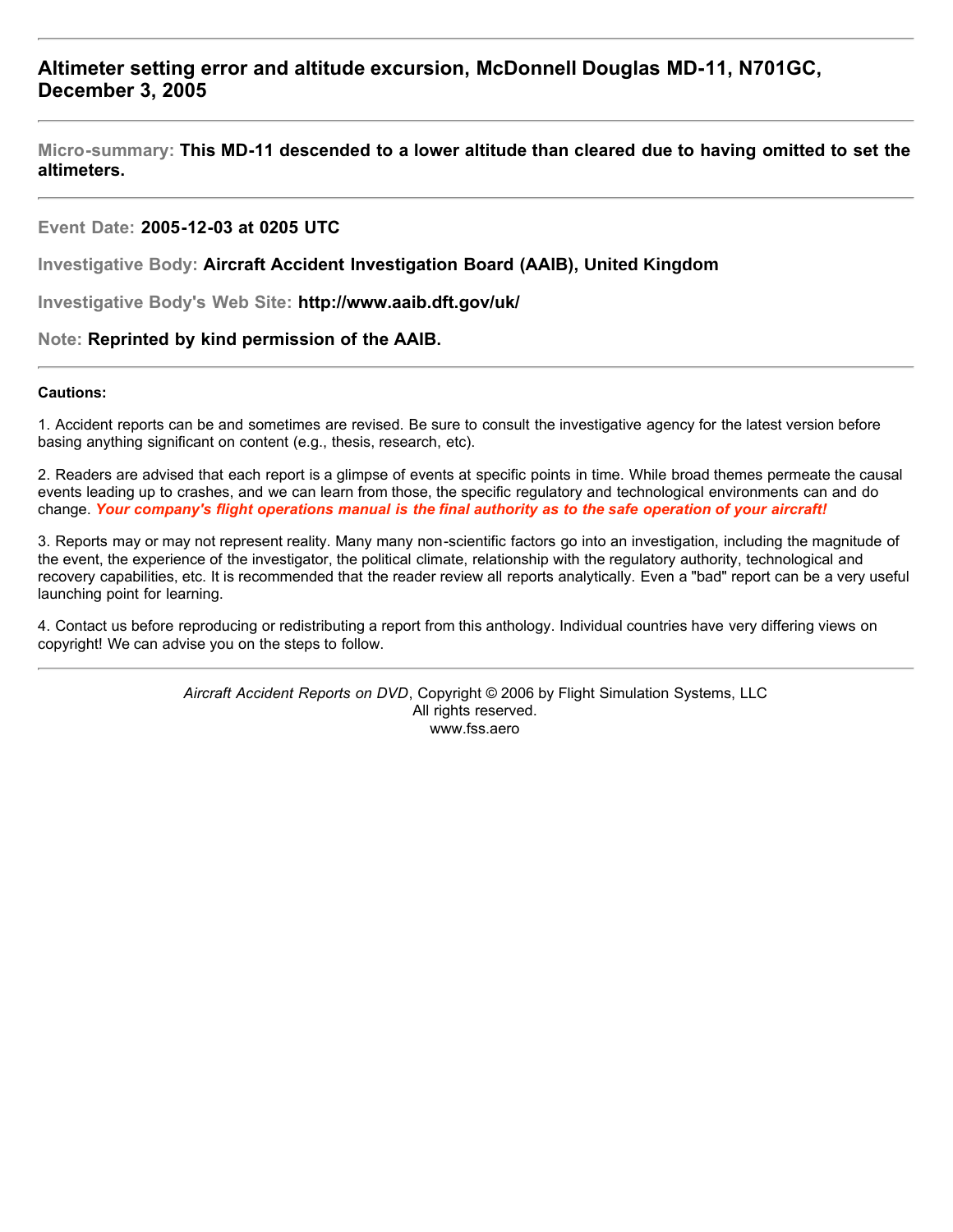# **Altimeter setting error and altitude excursion, McDonnell Douglas MD-11, N701GC, December 3, 2005**

**Micro-summary: This MD-11 descended to a lower altitude than cleared due to having omitted to set the altimeters.**

**Event Date: 2005-12-03 at 0205 UTC**

**Investigative Body: Aircraft Accident Investigation Board (AAIB), United Kingdom**

**Investigative Body's Web Site: http://www.aaib.dft.gov/uk/**

**Note: Reprinted by kind permission of the AAIB.**

#### **Cautions:**

1. Accident reports can be and sometimes are revised. Be sure to consult the investigative agency for the latest version before basing anything significant on content (e.g., thesis, research, etc).

2. Readers are advised that each report is a glimpse of events at specific points in time. While broad themes permeate the causal events leading up to crashes, and we can learn from those, the specific regulatory and technological environments can and do change. *Your company's flight operations manual is the final authority as to the safe operation of your aircraft!*

3. Reports may or may not represent reality. Many many non-scientific factors go into an investigation, including the magnitude of the event, the experience of the investigator, the political climate, relationship with the regulatory authority, technological and recovery capabilities, etc. It is recommended that the reader review all reports analytically. Even a "bad" report can be a very useful launching point for learning.

4. Contact us before reproducing or redistributing a report from this anthology. Individual countries have very differing views on copyright! We can advise you on the steps to follow.

> *Aircraft Accident Reports on DVD*, Copyright © 2006 by Flight Simulation Systems, LLC All rights reserved. www.fss.aero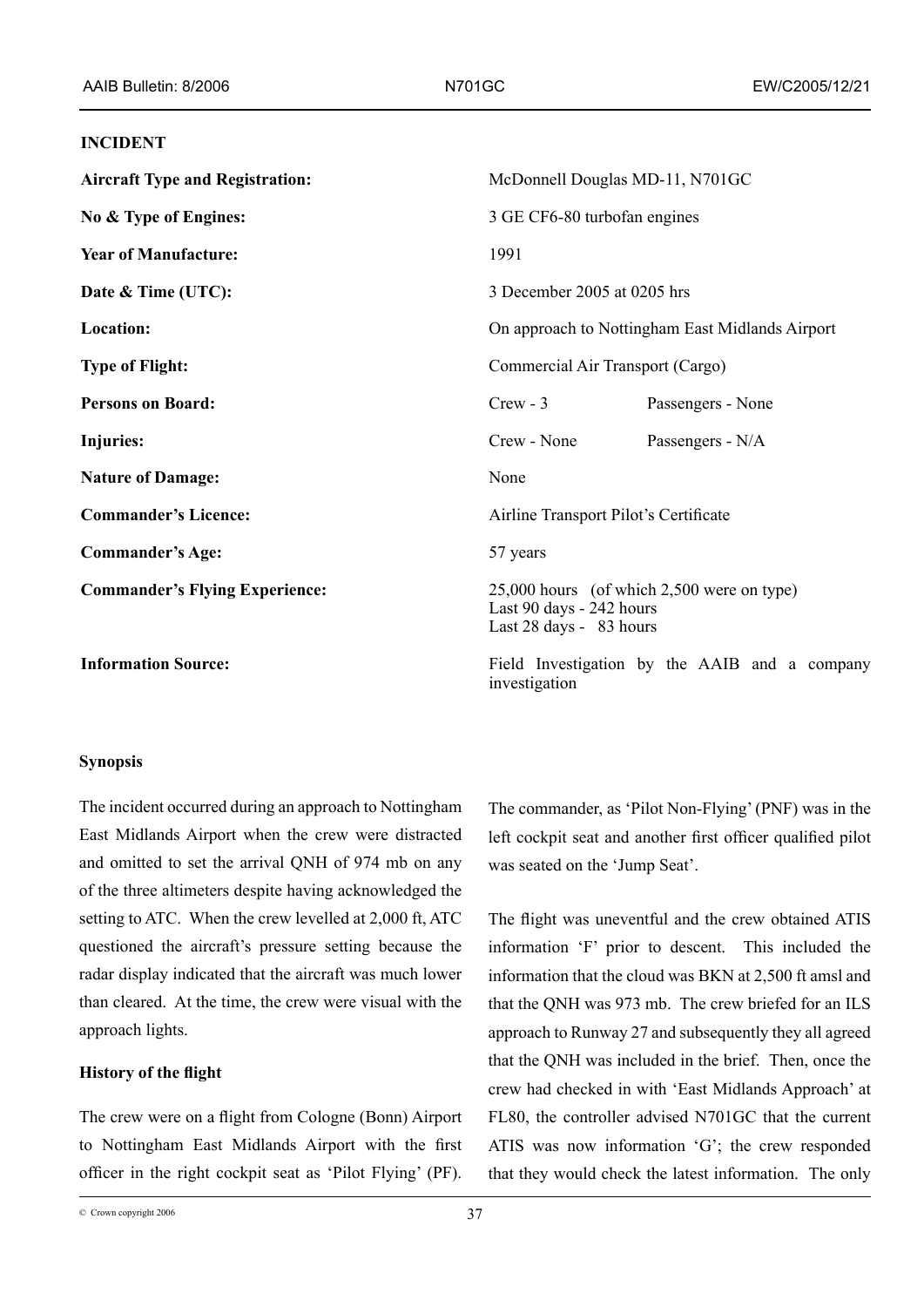#### **INCIDENT**

| <b>Aircraft Type and Registration:</b> | McDonnell Douglas MD-11, N701GC                                                                   |
|----------------------------------------|---------------------------------------------------------------------------------------------------|
| No & Type of Engines:                  | 3 GE CF6-80 turbofan engines                                                                      |
| <b>Year of Manufacture:</b>            | 1991                                                                                              |
| Date & Time (UTC):                     | 3 December 2005 at 0205 hrs                                                                       |
| Location:                              | On approach to Nottingham East Midlands Airport                                                   |
| <b>Type of Flight:</b>                 | Commercial Air Transport (Cargo)                                                                  |
| <b>Persons on Board:</b>               | $Crew - 3$<br>Passengers - None                                                                   |
| <b>Injuries:</b>                       | Crew - None<br>Passengers - N/A                                                                   |
| <b>Nature of Damage:</b>               | None                                                                                              |
| <b>Commander's Licence:</b>            | Airline Transport Pilot's Certificate                                                             |
| <b>Commander's Age:</b>                | 57 years                                                                                          |
| <b>Commander's Flying Experience:</b>  | 25,000 hours (of which 2,500 were on type)<br>Last 90 days - 242 hours<br>Last 28 days - 83 hours |
| <b>Information Source:</b>             | Field Investigation by the AAIB and a company<br>investigation                                    |

### **Synopsis**

The incident occurred during an approach to Nottingham East Midlands Airport when the crew were distracted and omitted to set the arrival QNH of 974 mb on any of the three altimeters despite having acknowledged the setting to ATC. When the crew levelled at 2,000 ft, ATC questioned the aircraft's pressure setting because the radar display indicated that the aircraft was much lower than cleared. At the time, the crew were visual with the approach lights.

### **History of the flight**

The crew were on a flight from Cologne (Bonn) Airport to Nottingham East Midlands Airport with the first officer in the right cockpit seat as 'Pilot Flying' (PF).

The commander, as 'Pilot Non-Flying' (PNF) was in the left cockpit seat and another first officer qualified pilot was seated on the 'Jump Seat'.

The flight was uneventful and the crew obtained ATIS information 'F' prior to descent. This included the information that the cloud was BKN at 2,500 ft amsl and that the QNH was 973 mb. The crew briefed for an ILS approach to Runway 27 and subsequently they all agreed that the QNH was included in the brief. Then, once the crew had checked in with 'East Midlands Approach' at FL80, the controller advised N701GC that the current ATIS was now information 'G'; the crew responded that they would check the latest information. The only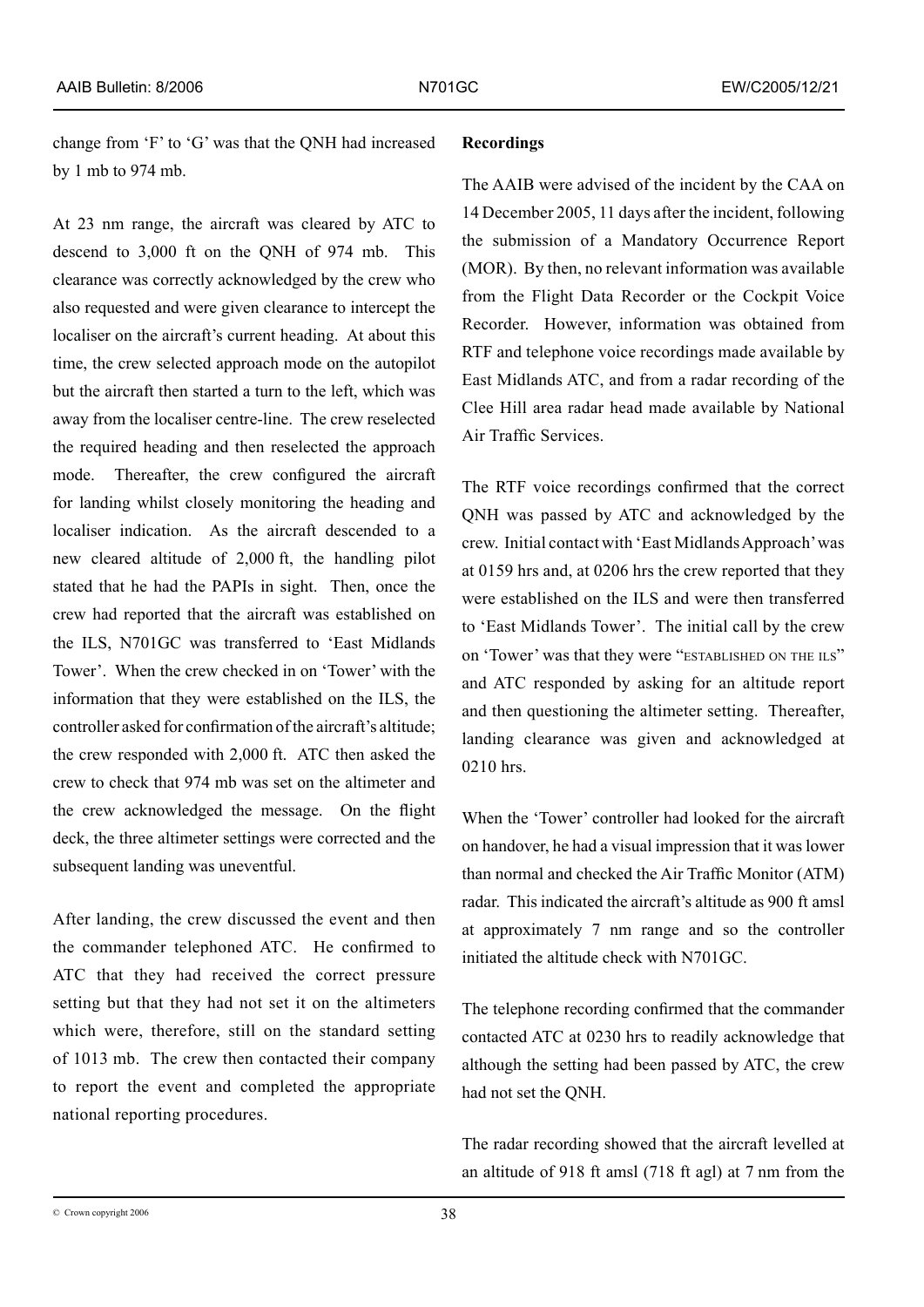change from 'F' to 'G' was that the QNH had increased by 1 mb to 974 mb.

At 23 nm range, the aircraft was cleared by ATC to descend to 3,000 ft on the QNH of 974 mb. This clearance was correctly acknowledged by the crew who also requested and were given clearance to intercept the localiser on the aircraft's current heading. At about this time, the crew selected approach mode on the autopilot but the aircraft then started a turn to the left, which was away from the localiser centre-line. The crew reselected the required heading and then reselected the approach mode. Thereafter, the crew configured the aircraft for landing whilst closely monitoring the heading and localiser indication. As the aircraft descended to a new cleared altitude of 2,000 ft, the handling pilot stated that he had the PAPIs in sight. Then, once the crew had reported that the aircraft was established on the ILS, N701GC was transferred to 'East Midlands Tower'. When the crew checked in on 'Tower' with the information that they were established on the ILS, the controller asked for confirmation of the aircraft's altitude; the crew responded with 2,000 ft. ATC then asked the crew to check that 974 mb was set on the altimeter and the crew acknowledged the message. On the flight deck, the three altimeter settings were corrected and the subsequent landing was uneventful.

After landing, the crew discussed the event and then the commander telephoned ATC. He confirmed to ATC that they had received the correct pressure setting but that they had not set it on the altimeters which were, therefore, still on the standard setting of 1013 mb. The crew then contacted their company to report the event and completed the appropriate national reporting procedures.

### **Recordings**

The AAIB were advised of the incident by the CAA on 14 December 2005, 11 days after the incident, following the submission of a Mandatory Occurrence Report (MOR). By then, no relevant information was available from the Flight Data Recorder or the Cockpit Voice Recorder. However, information was obtained from RTF and telephone voice recordings made available by East Midlands ATC, and from a radar recording of the Clee Hill area radar head made available by National Air Traffic Services.

The RTF voice recordings confirmed that the correct QNH was passed by ATC and acknowledged by the crew. Initial contact with 'East Midlands Approach' was at 0159 hrs and, at 0206 hrs the crew reported that they were established on the ILS and were then transferred to 'East Midlands Tower'. The initial call by the crew on 'Tower' was that they were "ESTABLISHED ON THE ILS" and ATC responded by asking for an altitude report and then questioning the altimeter setting. Thereafter, landing clearance was given and acknowledged at 0210 hrs.

When the 'Tower' controller had looked for the aircraft on handover, he had a visual impression that it was lower than normal and checked the Air Traffic Monitor (ATM) radar. This indicated the aircraft's altitude as 900 ft amsl at approximately 7 nm range and so the controller initiated the altitude check with N701GC.

The telephone recording confirmed that the commander contacted ATC at 0230 hrs to readily acknowledge that although the setting had been passed by ATC, the crew had not set the QNH.

The radar recording showed that the aircraft levelled at an altitude of 918 ft amsl (718 ft agl) at 7 nm from the

<sup>38</sup> © Crown copyright 2006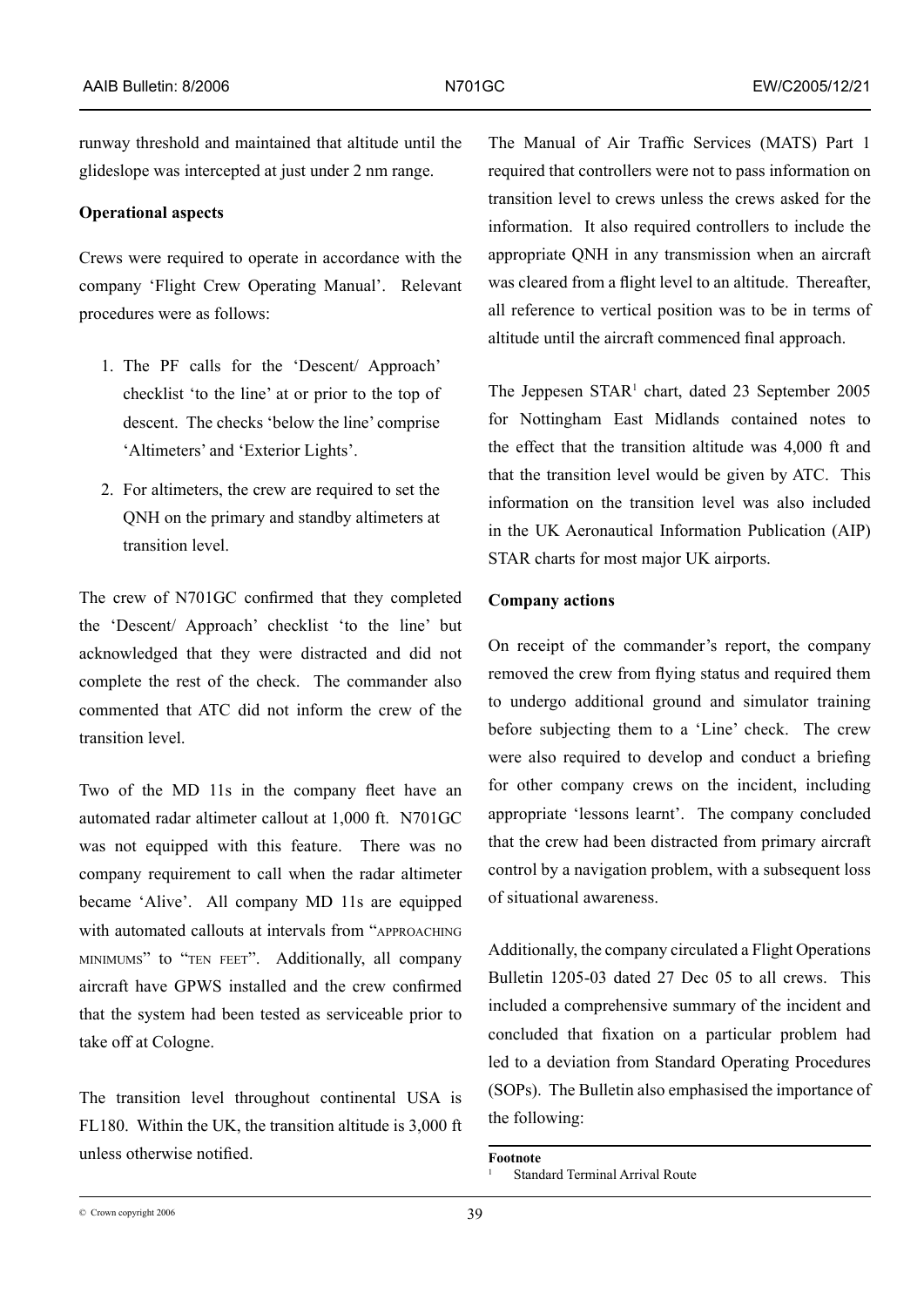runway threshold and maintained that altitude until the glideslope was intercepted at just under 2 nm range.

## **Operational aspects**

Crews were required to operate in accordance with the company 'Flight Crew Operating Manual'. Relevant procedures were as follows:

- 1. The PF calls for the 'Descent/ Approach' checklist 'to the line' at or prior to the top of descent. The checks 'below the line' comprise 'Altimeters' and 'Exterior Lights'.
- 2. For altimeters, the crew are required to set the QNH on the primary and standby altimeters at transition level.

The crew of N701GC confirmed that they completed the 'Descent/ Approach' checklist 'to the line' but acknowledged that they were distracted and did not complete the rest of the check. The commander also commented that ATC did not inform the crew of the transition level.

Two of the MD 11s in the company fleet have an automated radar altimeter callout at 1,000 ft. N701GC was not equipped with this feature. There was no company requirement to call when the radar altimeter became 'Alive'. All company MD 11s are equipped with automated callouts at intervals from "APPROACHING minimums" to "ten feet". Additionally, all company aircraft have GPWS installed and the crew confirmed that the system had been tested as serviceable prior to take off at Cologne.

The transition level throughout continental USA is FL180. Within the UK, the transition altitude is 3,000 ft unless otherwise notified.

The Manual of Air Traffic Services (MATS) Part 1 required that controllers were not to pass information on transition level to crews unless the crews asked for the information. It also required controllers to include the appropriate QNH in any transmission when an aircraft was cleared from a flight level to an altitude. Thereafter, all reference to vertical position was to be in terms of altitude until the aircraft commenced final approach.

The Jeppesen STAR<sup>1</sup> chart, dated 23 September 2005 for Nottingham East Midlands contained notes to the effect that the transition altitude was 4,000 ft and that the transition level would be given by ATC. This information on the transition level was also included in the UK Aeronautical Information Publication (AIP) STAR charts for most major UK airports.

#### **Company actions**

On receipt of the commander's report, the company removed the crew from flying status and required them to undergo additional ground and simulator training before subjecting them to a 'Line' check. The crew were also required to develop and conduct a briefing for other company crews on the incident, including appropriate 'lessons learnt'. The company concluded that the crew had been distracted from primary aircraft control by a navigation problem, with a subsequent loss of situational awareness.

Additionally, the company circulated a Flight Operations Bulletin 1205-03 dated 27 Dec 05 to all crews. This included a comprehensive summary of the incident and concluded that fixation on a particular problem had led to a deviation from Standard Operating Procedures (SOPs). The Bulletin also emphasised the importance of the following:

**Footnote**

39 © Crown copyright 2006

Standard Terminal Arrival Route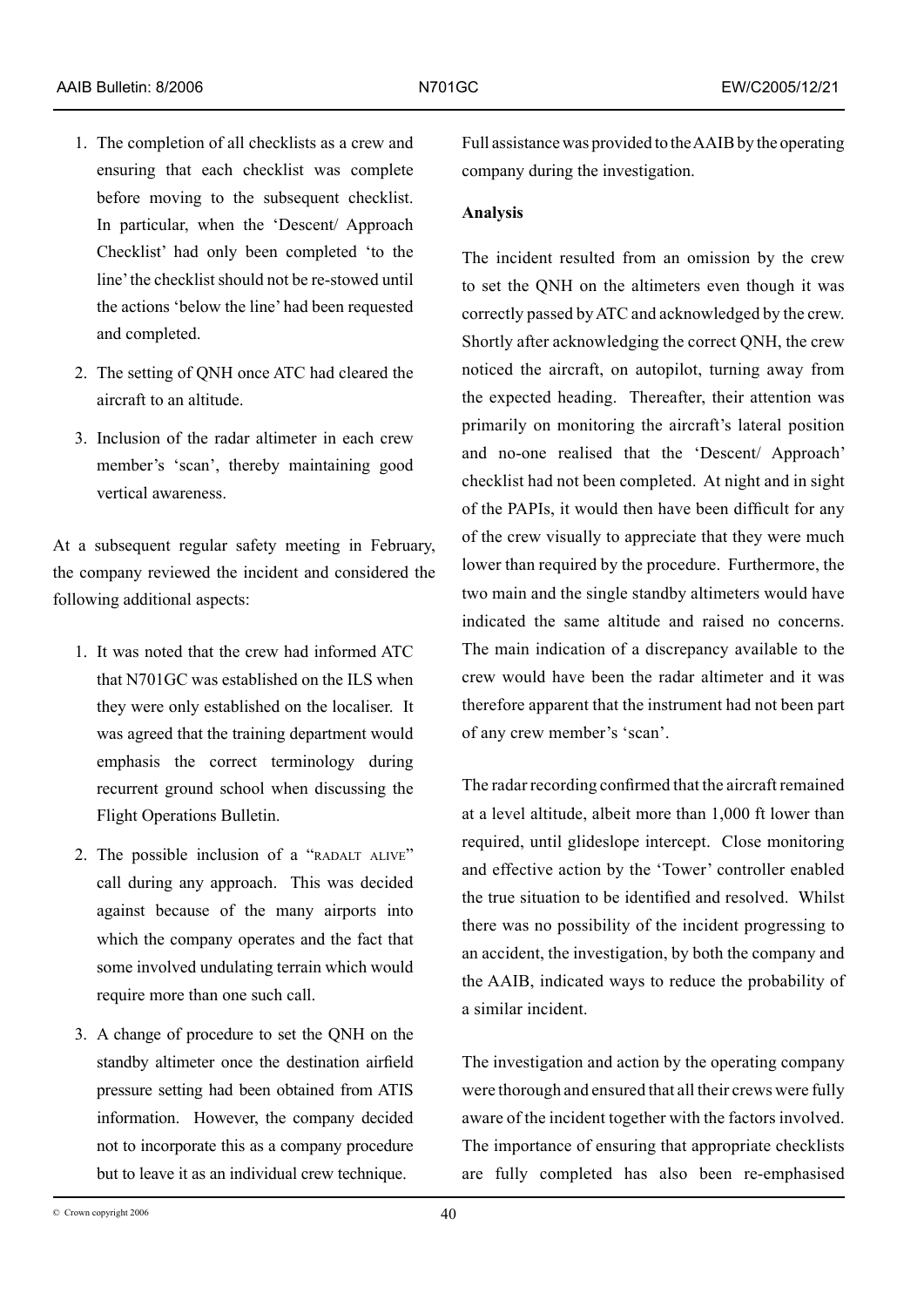- 1. The completion of all checklists as a crew and ensuring that each checklist was complete before moving to the subsequent checklist. In particular, when the 'Descent/ Approach Checklist' had only been completed 'to the line' the checklist should not be re-stowed until the actions 'below the line' had been requested and completed.
- 2. The setting of QNH once ATC had cleared the aircraft to an altitude.
- 3. Inclusion of the radar altimeter in each crew member's 'scan', thereby maintaining good vertical awareness.

At a subsequent regular safety meeting in February, the company reviewed the incident and considered the following additional aspects:

- 1. It was noted that the crew had informed ATC that N701GC was established on the ILS when they were only established on the localiser. It was agreed that the training department would emphasis the correct terminology during recurrent ground school when discussing the Flight Operations Bulletin.
- 2. The possible inclusion of a "RADALT ALIVE" call during any approach. This was decided against because of the many airports into which the company operates and the fact that some involved undulating terrain which would require more than one such call.
- 3. A change of procedure to set the QNH on the standby altimeter once the destination airfield pressure setting had been obtained from ATIS information. However, the company decided not to incorporate this as a company procedure but to leave it as an individual crew technique.

Full assistance was provided to the AAIB by the operating company during the investigation.

## **Analysis**

The incident resulted from an omission by the crew to set the QNH on the altimeters even though it was correctly passed by ATC and acknowledged by the crew. Shortly after acknowledging the correct QNH, the crew noticed the aircraft, on autopilot, turning away from the expected heading. Thereafter, their attention was primarily on monitoring the aircraft's lateral position and no-one realised that the 'Descent/ Approach' checklist had not been completed. At night and in sight of the PAPIs, it would then have been difficult for any of the crew visually to appreciate that they were much lower than required by the procedure. Furthermore, the two main and the single standby altimeters would have indicated the same altitude and raised no concerns. The main indication of a discrepancy available to the crew would have been the radar altimeter and it was therefore apparent that the instrument had not been part of any crew member's 'scan'.

The radar recording confirmed that the aircraft remained at a level altitude, albeit more than 1,000 ft lower than required, until glideslope intercept. Close monitoring and effective action by the 'Tower' controller enabled the true situation to be identified and resolved. Whilst there was no possibility of the incident progressing to an accident, the investigation, by both the company and the AAIB, indicated ways to reduce the probability of a similar incident.

The investigation and action by the operating company were thorough and ensured that all their crews were fully aware of the incident together with the factors involved. The importance of ensuring that appropriate checklists are fully completed has also been re-emphasised